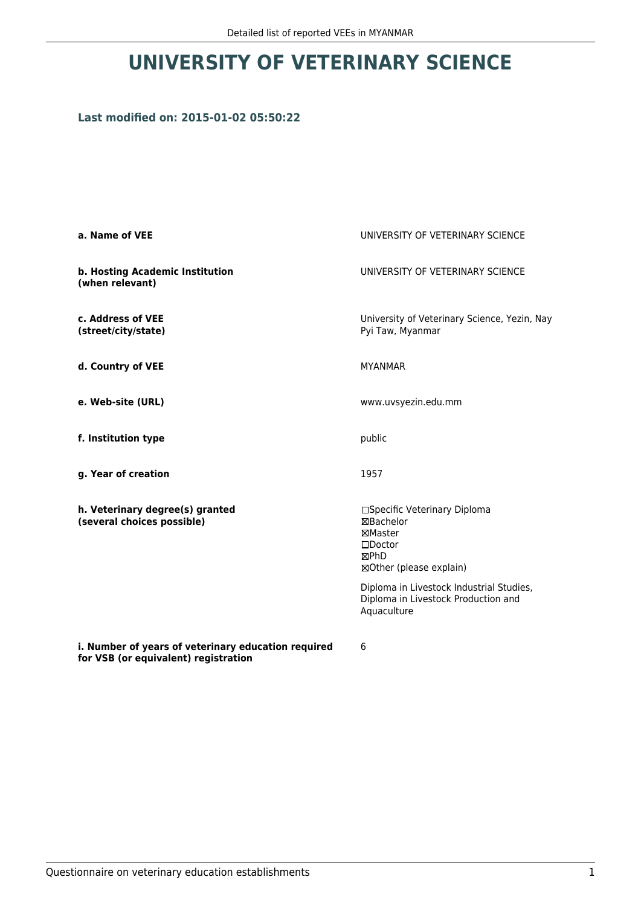## **UNIVERSITY OF VETERINARY SCIENCE**

## **Last modified on: 2015-01-02 05:50:22**

| a. Name of VEE                                                | UNIVERSITY OF VETERINARY SCIENCE                                                                            |  |
|---------------------------------------------------------------|-------------------------------------------------------------------------------------------------------------|--|
| b. Hosting Academic Institution<br>(when relevant)            | UNIVERSITY OF VETERINARY SCIENCE                                                                            |  |
| c. Address of VEE<br>(street/city/state)                      | University of Veterinary Science, Yezin, Nay<br>Pyi Taw, Myanmar                                            |  |
| d. Country of VEE                                             | <b>MYANMAR</b>                                                                                              |  |
| e. Web-site (URL)                                             | www.uvsyezin.edu.mm                                                                                         |  |
| f. Institution type                                           | public<br>1957                                                                                              |  |
| g. Year of creation                                           |                                                                                                             |  |
| h. Veterinary degree(s) granted<br>(several choices possible) | □Specific Veterinary Diploma<br>⊠Bachelor<br>⊠Master<br>$\square$ Doctor<br>⊠PhD<br>⊠Other (please explain) |  |
|                                                               | Diploma in Livestock Industrial Studies,<br>Diploma in Livestock Production and<br>Aquaculture              |  |
| i. Number of years of veterinary education required           | 6                                                                                                           |  |

**for VSB (or equivalent) registration**

6